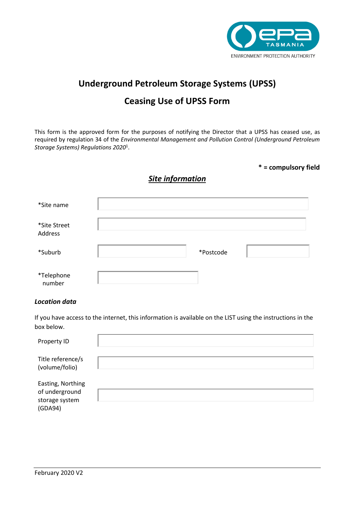

# **Underground Petroleum Storage Systems (UPSS)**

# **Ceasing Use of UPSS Form**

This form is the approved form for the purposes of notifying the Director that a UPSS has ceased use, as required by regulation 34 of the *Environmental Management and Pollution Control (Underground Petroleum Storage Systems) Regulations 2020*<sup>1</sup> .

### **\* = compulsory field**

### *Site information*

| *Site name              |           |  |
|-------------------------|-----------|--|
| *Site Street<br>Address |           |  |
| *Suburb                 | *Postcode |  |
| *Telephone<br>number    |           |  |

#### *Location data*

If you have access to the internet, this information is available on the LIST using the instructions in the box below.

| Property ID                                                      |  |
|------------------------------------------------------------------|--|
| Title reference/s<br>(volume/folio)                              |  |
| Easting, Northing<br>of underground<br>storage system<br>(GDA94) |  |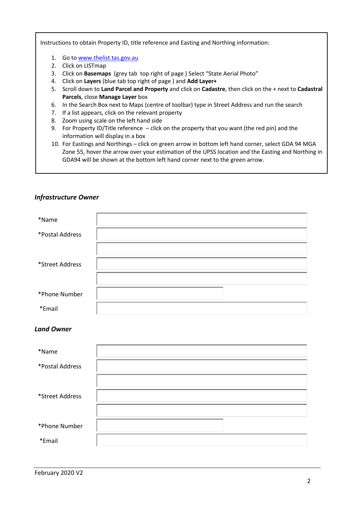Instructions to obtain Property ID, title reference and Easting and Northing information:

- 1. Go to [www.thelist.tas.gov.au](http://www.thelist.tas.gov.au/)
- 2. Click on LISTmap
- 3. Click on **Basemaps** (grey tab top right of page ) Select "State Aerial Photo"
- 4. Click on **Layers** (blue tab top right of page ) and **Add Layer+**
- 5. Scroll down to **Land Parcel and Property** and click on **Cadastre**, then click on the + next to **Cadastral Parcels**, close **Manage Layer** box
- 6. In the Search Box next to Maps (centre of toolbar) type in Street Address and run the search
- 7. If a list appears, click on the relevant property
- 8. Zoom using scale on the left hand side
- 9. For Property ID/Title reference click on the property that you want (the red pin) and the information will display in a box
- 10. For Eastings and Northings click on green arrow in bottom left hand corner, select GDA 94 MGA Zone 55, hover the arrow over your estimation of the UPSS location and the Easting and Northing in GDA94 will be shown at the bottom left hand corner next to the green arrow.

| <b>Infrastructure Owner</b> |  |
|-----------------------------|--|
|                             |  |

| *Name           |  |
|-----------------|--|
| *Postal Address |  |
|                 |  |
| *Street Address |  |
|                 |  |
| *Phone Number   |  |
| *Email          |  |

### *Land Owner*

| *Name           |  |
|-----------------|--|
| *Postal Address |  |
|                 |  |
| *Street Address |  |
|                 |  |
| *Phone Number   |  |
| *Email          |  |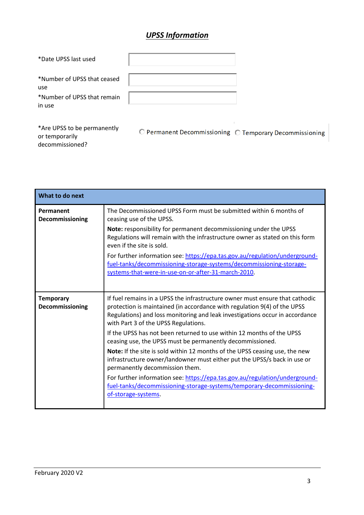# *UPSS Information*

| *Date UPSS last used                                                        |                                    |        |
|-----------------------------------------------------------------------------|------------------------------------|--------|
| *Number of UPSS that ceased<br>use<br>*Number of UPSS that remain<br>in use |                                    |        |
| *Are UPSS to be permanently                                                 | <b>D</b> Permanent Decommissioning | ∩ Tomn |

O Permanent Decommissioning O Temporary Decommissioning

| What to do next                     |                                                                                                                                                                                                                                                                                                                                                                                                                                                                                                                                                                                                                                                                                                                                                                                                    |
|-------------------------------------|----------------------------------------------------------------------------------------------------------------------------------------------------------------------------------------------------------------------------------------------------------------------------------------------------------------------------------------------------------------------------------------------------------------------------------------------------------------------------------------------------------------------------------------------------------------------------------------------------------------------------------------------------------------------------------------------------------------------------------------------------------------------------------------------------|
| Permanent<br>Decommissioning        | The Decommissioned UPSS Form must be submitted within 6 months of<br>ceasing use of the UPSS.                                                                                                                                                                                                                                                                                                                                                                                                                                                                                                                                                                                                                                                                                                      |
|                                     | Note: responsibility for permanent decommissioning under the UPSS<br>Regulations will remain with the infrastructure owner as stated on this form<br>even if the site is sold.                                                                                                                                                                                                                                                                                                                                                                                                                                                                                                                                                                                                                     |
|                                     | For further information see: https://epa.tas.gov.au/regulation/underground-<br>fuel-tanks/decommissioning-storage-systems/decommissioning-storage-<br>systems-that-were-in-use-on-or-after-31-march-2010.                                                                                                                                                                                                                                                                                                                                                                                                                                                                                                                                                                                          |
| <b>Temporary</b><br>Decommissioning | If fuel remains in a UPSS the infrastructure owner must ensure that cathodic<br>protection is maintained (in accordance with regulation 9(4) of the UPSS<br>Regulations) and loss monitoring and leak investigations occur in accordance<br>with Part 3 of the UPSS Regulations.<br>If the UPSS has not been returned to use within 12 months of the UPSS<br>ceasing use, the UPSS must be permanently decommissioned.<br>Note: If the site is sold within 12 months of the UPSS ceasing use, the new<br>infrastructure owner/landowner must either put the UPSS/s back in use or<br>permanently decommission them.<br>For further information see: https://epa.tas.gov.au/regulation/underground-<br>fuel-tanks/decommissioning-storage-systems/temporary-decommissioning-<br>of-storage-systems. |

or temporarily decommissioned?